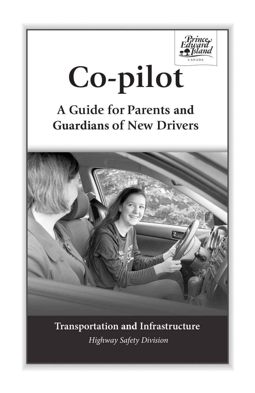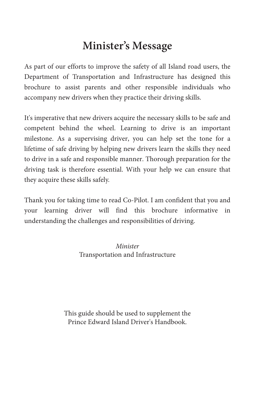# **Minister's Message**

As part of our efforts to improve the safety of all Island road users, the Department of Transportation and Infrastructure has designed this brochure to assist parents and other responsible individuals who accompany new drivers when they practice their driving skills.

It's imperative that new drivers acquire the necessary skills to be safe and competent behind the wheel. Learning to drive is an important milestone. As a supervising driver, you can help set the tone for a lifetime of safe driving by helping new drivers learn the skills they need to drive in a safe and responsible manner. Thorough preparation for the driving task is therefore essential. With your help we can ensure that they acquire these skills safely.

Thank you for taking time to read Co-Pilot. I am confident that you and your learning driver will find this brochure informative in understanding the challenges and responsibilities of driving.

> *Minister* Transportation and Infrastructure

This guide should be used to supplement the Prince Edward Island Driver's Handbook.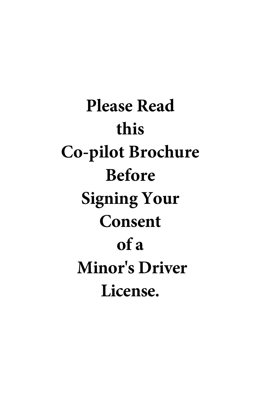**Please Read this Co-pilot Brochure Before Signing Your Consent of a Minor's Driver License.**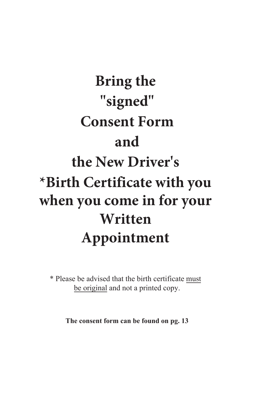# **Bring the "signed" Consent Form and the New Driver's \*Birth Certificate with you when you come in for your Written Appointment**

\* Please be advised that the birth certificate must be original and not a printed copy.

**The consent form can be found on pg. 13**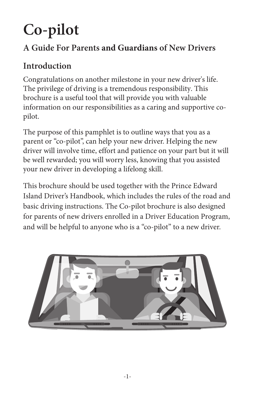# **Co-pilot**

# **A Guide For Parents and Guardians of New Drivers**

# **Introduction**

Congratulations on another milestone in your new driver's life. The privilege of driving is a tremendous responsibility. This brochure is a useful tool that will provide you with valuable information on our responsibilities as a caring and supportive copilot.

The purpose of this pamphlet is to outline ways that you as a parent or "co-pilot", can help your new driver. Helping the new driver will involve time, effort and patience on your part but it will be well rewarded; you will worry less, knowing that you assisted your new driver in developing a lifelong skill.

This brochure should be used together with the Prince Edward Island Driver's Handbook, which includes the rules of the road and basic driving instructions. The Co-pilot brochure is also designed for parents of new drivers enrolled in a Driver Education Program, and will be helpful to anyone who is a "co-pilot" to a new driver.

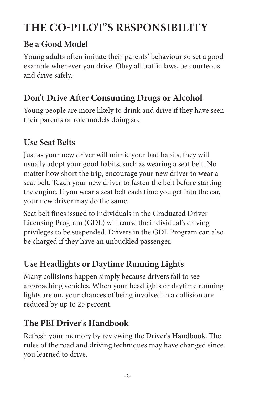# **ThE Co-PIloT'S RESPoNSIBIlITY**

#### **Be a Good Model**

Young adults often imitate their parents' behaviour so set a good example whenever you drive. Obey all traffic laws, be courteous and drive safely.

# **Don't Drive After Consuming Drugs or Alcohol**

Young people are more likely to drink and drive if they have seen their parents or role models doing so.

### **Use Seat Belts**

Just as your new driver will mimic your bad habits, they will usually adopt your good habits, such as wearing a seat belt. No matter how short the trip, encourage your new driver to wear a seat belt. Teach your new driver to fasten the belt before starting the engine. If you wear a seat belt each time you get into the car, your new driver may do the same.

Seat belt fines issued to individuals in the Graduated Driver Licensing Program (GDL) will cause the individual's driving privileges to be suspended. Drivers in the GDL Program can also be charged if they have an unbuckled passenger.

# **Use headlights or Daytime Running lights**

Many collisions happen simply because drivers fail to see approaching vehicles. When your headlights or daytime running lights are on, your chances of being involved in a collision are reduced by up to 25 percent.

# **The PEI Driver's Handbook**

Refresh your memory by reviewing the Driver's Handbook. The rules of the road and driving techniques may have changed since you learned to drive.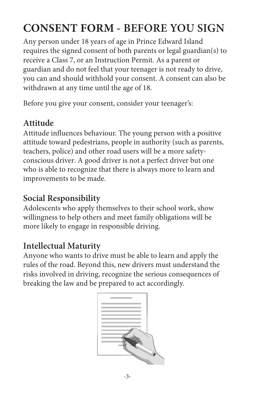# **CONSENT FORM - BEFoRE YoU SIGN**

Any person under 18 years of age in Prince Edward Island requires the signed consent of both parents or legal guardian(s) to receive a Class 7, or an Instruction Permit. As a parent or guardian and do not feel that your teenager is not ready to drive, you can and should withhold your consent. A consent can also be withdrawn at any time until the age of 18.

Before you give your consent, consider your teenager's:

#### **Attitude**

Attitude influences behaviour. The young person with a positive attitude toward pedestrians, people in authority (such as parents, teachers, police) and other road users will be a more safetyconscious driver. A good driver is not a perfect driver but one who is able to recognize that there is always more to learn and improvements to be made.

## **Social Responsibility**

Adolescents who apply themselves to their school work, show willingness to help others and meet family obligations will be more likely to engage in responsible driving.

# **Intellectual Maturity**

Anyone who wants to drive must be able to learn and apply the rules of the road. Beyond this, new drivers must understand the risks involved in driving, recognize the serious consequences of breaking the law and be prepared to act accordingly.

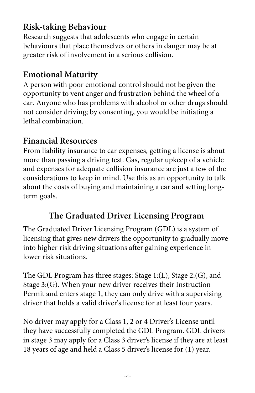### **Risk-taking Behaviour**

Research suggests that adolescents who engage in certain behaviours that place themselves or others in danger may be at greater risk of involvement in a serious collision.

#### **Emotional Maturity**

A person with poor emotional control should not be given the opportunity to vent anger and frustration behind the wheel of a car. Anyone who has problems with alcohol or other drugs should not consider driving; by consenting, you would be initiating a lethal combination.

#### **Financial Resources**

From liability insurance to car expenses, getting a license is about more than passing a driving test. Gas, regular upkeep of a vehicle and expenses for adequate collision insurance are just a few of the considerations to keep in mind. Use this as an opportunity to talk about the costs of buying and maintaining a car and setting longterm goals.

#### **The Graduated Driver licensing Program**

The Graduated Driver Licensing Program (GDL) is a system of licensing that gives new drivers the opportunity to gradually move into higher risk driving situations after gaining experience in lower risk situations.

The GDL Program has three stages: Stage 1:(L), Stage 2:(G), and Stage 3:(G). When your new driver receives their Instruction Permit and enters stage 1, they can only drive with a supervising driver that holds a valid driver's license for at least four years.

No driver may apply for a Class 1, 2 or 4 Driver's License until they have successfully completed the GDL Program. GDL drivers in stage 3 may apply for a Class 3 driver's license if they are at least 18 years of age and held a Class 5 driver's license for (1) year.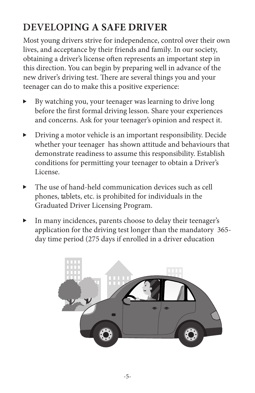# *pevel OPING A SAFE DRIVER*

Most young drivers strive for independence, control over their own lives, and acceptance by their friends and family. In our society, obtaining a driver's license often represents an important step in this direction. You can begin by preparing well in advance of the new driver's driving test. There are several things you and your teenager can do to make this a positive experience:

- By watching you, your teenager was learning to drive long before the first formal driving lesson. Share your experiences and concerns. Ask for your teenager's opinion and respect it.
- Driving a motor vehicle is an important responsibility. Decide whether your teenager has shown attitude and behaviours that demonstrate readiness to assume this responsibility. Establish conditions for permitting your teenager to obtain a Driver's License.
- The use of hand-held communication devices such as cell phones, tablets, etc. is prohibited for individuals in the Graduated Driver Licensing Program.
- In many incidences, parents choose to delay their teenager's application for the driving test longer than the mandatory 365 day time period (275 days if enrolled in a driver education

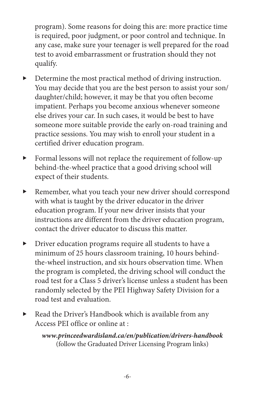program). Some reasons for doing this are: more practice time is required, poor judgment, or poor control and technique. In any case, make sure your teenager is well prepared for the road test to avoid embarrassment or frustration should they not qualify.

- Determine the most practical method of driving instruction. You may decide that you are the best person to assist your son/ daughter/child; however, it may be that you often become impatient. Perhaps you become anxious whenever someone else drives your car. In such cases, it would be best to have someone more suitable provide the early on-road training and practice sessions. You may wish to enroll your student in a certified driver education program.
- Formal lessons will not replace the requirement of follow-up behind-the-wheel practice that a good driving school will expect of their students.
- Remember, what you teach your new driver should correspond with what is taught by the driver educator in the driver education program. If your new driver insists that your instructions are different from the driver education program, contact the driver educator to discuss this matter.
- Driver education programs require all students to have a minimum of 25 hours classroom training, 10 hours behindthe-wheel instruction, and six hours observation time. When the program is completed, the driving school will conduct the road test for a Class 5 driver's license unless a student has been randomly selected by the PEI Highway Safety Division for a road test and evaluation.
- Read the Driver's Handbook which is available from any Access PEI office or online at :

*www.princeedwardisland.ca/en/publication/drivers-handbook* (follow the Graduated Driver Licensing Program links)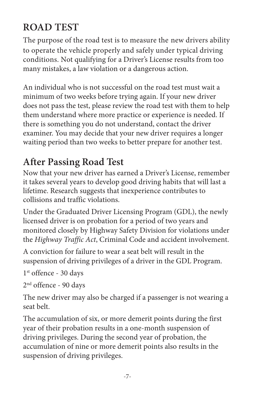# **RoAD TEST**

The purpose of the road test is to measure the new drivers ability to operate the vehicle properly and safely under typical driving conditions. Not qualifying for a Driver's License results from too many mistakes, a law violation or a dangerous action.

An individual who is not successful on the road test must wait a minimum of two weeks before trying again. If your new driver does not pass the test, please review the road test with them to help them understand where more practice or experience is needed. If there is something you do not understand, contact the driver examiner. You may decide that your new driver requires a longer waiting period than two weeks to better prepare for another test.

# **After Passing Road Test**

Now that your new driver has earned a Driver's License, remember it takes several years to develop good driving habits that will last a lifetime. Research suggests that inexperience contributes to collisions and traffic violations.

Under the Graduated Driver Licensing Program (GDL), the newly licensed driver is on probation for a period of two years and monitored closely by Highway Safety Division for violations under the *Highway Traffic Act*, Criminal Code and accident involvement.

A conviction for failure to wear a seat belt will result in the suspension of driving privileges of a driver in the GDL Program.

1 st offence - 30 days

2 nd offence - 90 days

The new driver may also be charged if a passenger is not wearing a seat belt.

The accumulation of six, or more demerit points during the first year of their probation results in a one-month suspension of driving privileges. During the second year of probation, the accumulation of nine or more demerit points also results in the suspension of driving privileges.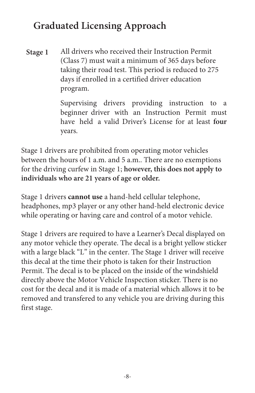# **Graduated licensing Approach**

All drivers who received their Instruction Permit (Class 7) must wait a minimum of 365 days before taking their road test. This period is reduced to 275 days if enrolled in a certified driver education program. **Stage 1**

> Supervising drivers providing instruction to a beginner driver with an Instruction Permit must have held a valid Driver's License for at least **four** years.

Stage 1 drivers are prohibited from operating motor vehicles between the hours of 1 a.m. and 5 a.m.. There are no exemptions for the driving curfew in Stage 1; **however, this does not apply to individuals who are 21 years of age or older.**

Stage 1 drivers **cannot use** a hand-held cellular telephone, headphones, mp3 player or any other hand-held electronic device while operating or having care and control of a motor vehicle.

Stage 1 drivers are required to have a Learner's Decal displayed on any motor vehicle they operate. The decal is a bright yellow sticker with a large black "L" in the center. The Stage 1 driver will receive this decal at the time their photo is taken for their Instruction Permit. The decal is to be placed on the inside of the windshield directly above the Motor Vehicle Inspection sticker. There is no cost for the decal and it is made of a material which allows it to be removed and transfered to any vehicle you are driving during this first stage.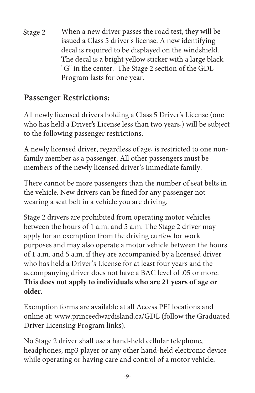**Stage 2** When a new driver passes the road test, they will be issued a Class 5 driver's license. A new identifying decal is required to be displayed on the windshield. The decal is a bright yellow sticker with a large black "G" in the center. The Stage 2 section of the GDL Program lasts for one year.

# **Passenger Restrictions:**

All newly licensed drivers holding a Class 5 Driver's License (one who has held a Driver's License less than two years,) will be subject to the following passenger restrictions.

A newly licensed driver, regardless of age, is restricted to one nonfamily member as a passenger. All other passengers must be members of the newly licensed driver's immediate family.

There cannot be more passengers than the number of seat belts in the vehicle. New drivers can be fined for any passenger not wearing a seat belt in a vehicle you are driving.

Stage 2 drivers are prohibited from operating motor vehicles between the hours of 1 a.m. and 5 a.m. The Stage 2 driver may apply for an exemption from the driving curfew for work purposes and may also operate a motor vehicle between the hours of 1 a.m. and 5 a.m. if they are accompanied by a licensed driver who has held a Driver's License for at least four years and the accompanying driver does not have a BAC level of .05 or more. **This does not apply to individuals who are 21 years of age or older.**

Exemption forms are available at all Access PEI locations and online at: www.princeedwardisland.ca/GDL (follow the Graduated Driver Licensing Program links).

No Stage 2 driver shall use a hand-held cellular telephone, headphones, mp3 player or any other hand-held electronic device while operating or having care and control of a motor vehicle.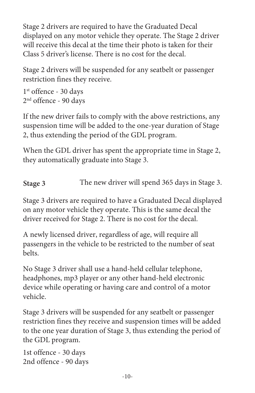Stage 2 drivers are required to have the Graduated Decal displayed on any motor vehicle they operate. The Stage 2 driver will receive this decal at the time their photo is taken for their Class 5 driver's license. There is no cost for the decal.

Stage 2 drivers will be suspended for any seatbelt or passenger restriction fines they receive.

1 st offence - 30 days 2 nd offence - 90 days

If the new driver fails to comply with the above restrictions, any suspension time will be added to the one-year duration of Stage 2, thus extending the period of the GDL program.

When the GDL driver has spent the appropriate time in Stage 2, they automatically graduate into Stage 3.

**Stage 3** The new driver will spend 365 days in Stage 3.

Stage 3 drivers are required to have a Graduated Decal displayed on any motor vehicle they operate. This is the same decal the driver received for Stage 2. There is no cost for the decal.

A newly licensed driver, regardless of age, will require all passengers in the vehicle to be restricted to the number of seat belts.

No Stage 3 driver shall use a hand-held cellular telephone, headphones, mp3 player or any other hand-held electronic device while operating or having care and control of a motor vehicle.

Stage 3 drivers will be suspended for any seatbelt or passenger restriction fines they receive and suspension times will be added to the one year duration of Stage 3, thus extending the period of the GDL program.

1st offence - 30 days 2nd offence - 90 days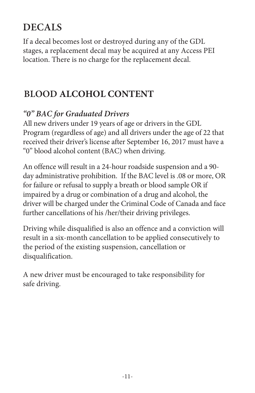# **DECAlS**

If a decal becomes lost or destroyed during any of the GDL stages, a replacement decal may be acquired at any Access PEI location. There is no charge for the replacement decal.

# **BLOOD ALCOHOL CONTENT**

#### *"0" BAC for Graduated Drivers*

All new drivers under 19 years of age or drivers in the GDL Program (regardless of age) and all drivers under the age of 22 that received their driver's license after September 16, 2017 must have a "0" blood alcohol content (BAC) when driving.

An offence will result in a 24-hour roadside suspension and a 90 day administrative prohibition. If the BAC level is .08 or more, OR for failure or refusal to supply a breath or blood sample OR if impaired by a drug or combination of a drug and alcohol, the driver will be charged under the Criminal Code of Canada and face further cancellations of his /her/their driving privileges.

Driving while disqualified is also an offence and a conviction will result in a six-month cancellation to be applied consecutively to the period of the existing suspension, cancellation or disqualification.

A new driver must be encouraged to take responsibility for safe driving.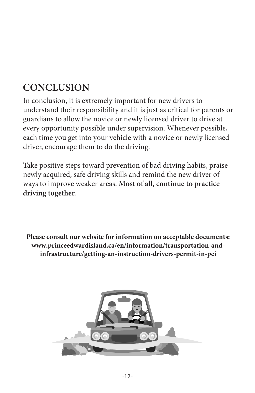# **CoNClUSIoN**

In conclusion, it is extremely important for new drivers to understand their responsibility and it is just as critical for parents or guardians to allow the novice or newly licensed driver to drive at every opportunity possible under supervision. Whenever possible, each time you get into your vehicle with a novice or newly licensed driver, encourage them to do the driving.

Take positive steps toward prevention of bad driving habits, praise newly acquired, safe driving skills and remind the new driver of ways to improve weaker areas. **Most of all, continue to practice driving together.**

**Please consult our website for information on acceptable documents: www.princeedwardisland.ca/en/information/transportation-andinfrastructure/getting-an-instruction-drivers-permit-in-pei**

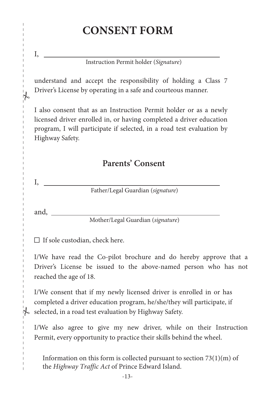# **CONSENT FORM**

Instruction Permit holder (*Signature*)

understand and accept the responsibility of holding a Class 7 Driver's License by operating in a safe and courteous manner.

I also consent that as an Instruction Permit holder or as a newly licensed driver enrolled in, or having completed a driver education program, I will participate if selected, in a road test evaluation by Highway Safety.

#### **Parents' Consent**

I,

I,

 $\overline{1}$ 

 $\frac{1}{2}$ 

 $\overline{1}$ 

Father/Legal Guardian (*signature*)

and,

Mother/Legal Guardian (*signature*)

 $\Box$  If sole custodian, check here.

I/We have read the Co-pilot brochure and do hereby approve that a Driver's License be issued to the above-named person who has not reached the age of 18.

I/We consent that if my newly licensed driver is enrolled in or has completed a driver education program, he/she/they will participate, if selected, in a road test evaluation by Highway Safety.

I/We also agree to give my new driver, while on their Instruction Permit, every opportunity to practice their skills behind the wheel.

Information on this form is collected pursuant to section  $73(1)(m)$  of the *Highway Traffic Act* of Prince Edward Island.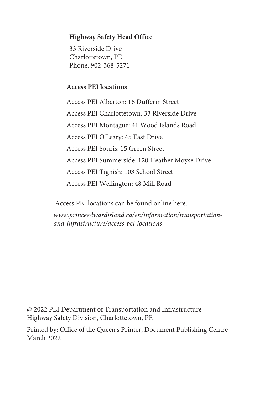#### **Highway Safety Head Office**

33 Riverside Drive Charlottetown, PE Phone: 902-368-5271

#### **Access PEI locations**

Access PEI Alberton: 16 Dufferin Street Access PEI Charlottetown: 33 Riverside Drive Access PEI Montague: 41 Wood Islands Road Access PEI O'Leary: 45 East Drive Access PEI Souris: 15 Green Street Access PEI Summerside: 120 Heather Moyse Drive Access PEI Tignish: 103 School Street Access PEI Wellington: 48 Mill Road

Access PEI locations can be found online here:

*www.princeedwardisland.ca/en/information/transportationand-infrastructure/access-pei-locations*

@ 2022 PEI Department of Transportation and Infrastructure Highway Safety Division, Charlottetown, PE

Printed by: Office of the Queen's Printer, Document Publishing Centre March 2022